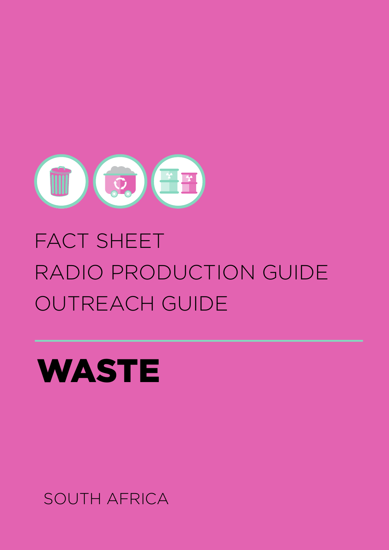

# FACT SHEET RADIO PRODUCTION GUIDE OUTREACH GUIDE



SOUTH AFRICA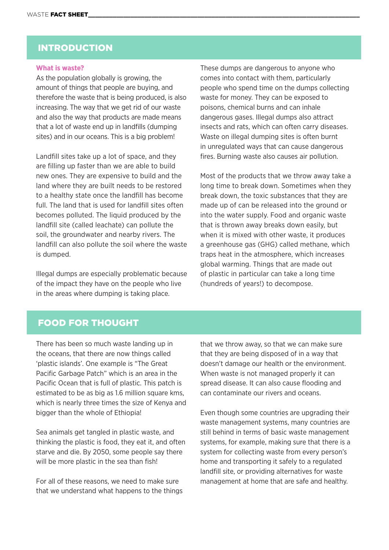### INTRODUCTION

#### **What is waste?**

As the population globally is growing, the amount of things that people are buying, and therefore the waste that is being produced, is also increasing. The way that we get rid of our waste and also the way that products are made means that a lot of waste end up in landfills (dumping sites) and in our oceans. This is a big problem!

Landfill sites take up a lot of space, and they are filling up faster than we are able to build new ones. They are expensive to build and the land where they are built needs to be restored to a healthy state once the landfill has become full. The land that is used for landfill sites often becomes polluted. The liquid produced by the landfill site (called leachate) can pollute the soil, the groundwater and nearby rivers. The landfill can also pollute the soil where the waste is dumped.

Illegal dumps are especially problematic because of the impact they have on the people who live in the areas where dumping is taking place.

These dumps are dangerous to anyone who comes into contact with them, particularly people who spend time on the dumps collecting waste for money. They can be exposed to poisons, chemical burns and can inhale dangerous gases. Illegal dumps also attract insects and rats, which can often carry diseases. Waste on illegal dumping sites is often burnt in unregulated ways that can cause dangerous fires. Burning waste also causes air pollution.

Most of the products that we throw away take a long time to break down. Sometimes when they break down, the toxic substances that they are made up of can be released into the ground or into the water supply. Food and organic waste that is thrown away breaks down easily, but when it is mixed with other waste, it produces a greenhouse gas (GHG) called methane, which traps heat in the atmosphere, which increases global warming. Things that are made out of plastic in particular can take a long time (hundreds of years!) to decompose.

### FOOD FOR THOUGHT

There has been so much waste landing up in the oceans, that there are now things called 'plastic islands'. One example is "The Great Pacific Garbage Patch" which is an area in the Pacific Ocean that is full of plastic. This patch is estimated to be as big as 1.6 million square kms, which is nearly three times the size of Kenya and bigger than the whole of Ethiopia!

Sea animals get tangled in plastic waste, and thinking the plastic is food, they eat it, and often starve and die. By 2050, some people say there will be more plastic in the sea than fish!

For all of these reasons, we need to make sure that we understand what happens to the things

that we throw away, so that we can make sure that they are being disposed of in a way that doesn't damage our health or the environment. When waste is not managed properly it can spread disease. It can also cause flooding and can contaminate our rivers and oceans.

Even though some countries are upgrading their waste management systems, many countries are still behind in terms of basic waste management systems, for example, making sure that there is a system for collecting waste from every person's home and transporting it safely to a regulated landfill site, or providing alternatives for waste management at home that are safe and healthy.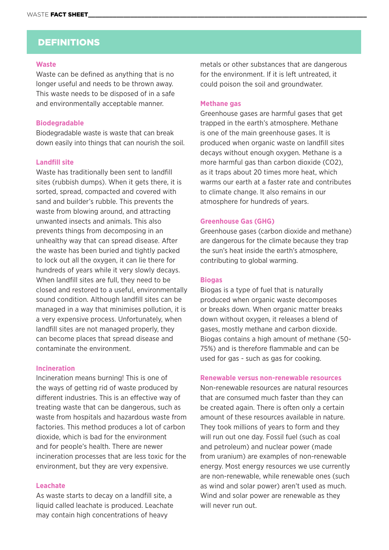# DEFINITIONS

#### **Waste**

Waste can be defined as anything that is no longer useful and needs to be thrown away. This waste needs to be disposed of in a safe and environmentally acceptable manner.

#### **Biodegradable**

Biodegradable waste is waste that can break down easily into things that can nourish the soil.

#### **Landfill site**

Waste has traditionally been sent to landfill sites (rubbish dumps). When it gets there, it is sorted, spread, compacted and covered with sand and builder's rubble. This prevents the waste from blowing around, and attracting unwanted insects and animals. This also prevents things from decomposing in an unhealthy way that can spread disease. After the waste has been buried and tightly packed to lock out all the oxygen, it can lie there for hundreds of years while it very slowly decays. When landfill sites are full, they need to be closed and restored to a useful, environmentally sound condition. Although landfill sites can be managed in a way that minimises pollution, it is a very expensive process. Unfortunately, when landfill sites are not managed properly, they can become places that spread disease and contaminate the environment.

#### **Incineration**

Incineration means burning! This is one of the ways of getting rid of waste produced by different industries. This is an effective way of treating waste that can be dangerous, such as waste from hospitals and hazardous waste from factories. This method produces a lot of carbon dioxide, which is bad for the environment and for people's health. There are newer incineration processes that are less toxic for the environment, but they are very expensive.

#### **Leachate**

As waste starts to decay on a landfill site, a liquid called leachate is produced. Leachate may contain high concentrations of heavy

metals or other substances that are dangerous for the environment. If it is left untreated, it could poison the soil and groundwater.

#### **Methane gas**

Greenhouse gases are harmful gases that get trapped in the earth's atmosphere. Methane is one of the main greenhouse gases. It is produced when organic waste on landfill sites decays without enough oxygen. Methane is a more harmful gas than carbon dioxide (CO2), as it traps about 20 times more heat, which warms our earth at a faster rate and contributes to climate change. It also remains in our atmosphere for hundreds of years.

#### **Greenhouse Gas (GHG)**

Greenhouse gases (carbon dioxide and methane) are dangerous for the climate because they trap the sun's heat inside the earth's atmosphere, contributing to global warming.

#### **Biogas**

Biogas is a type of fuel that is naturally produced when organic waste decomposes or breaks down. When organic matter breaks down without oxygen, it releases a blend of gases, mostly methane and carbon dioxide. Biogas contains a high amount of methane (50- 75%) and is therefore flammable and can be used for gas - such as gas for cooking.

#### **Renewable versus non-renewable resources**

Non-renewable resources are natural resources that are consumed much faster than they can be created again. There is often only a certain amount of these resources available in nature. They took millions of years to form and they will run out one day. Fossil fuel (such as coal and petroleum) and nuclear power (made from uranium) are examples of non-renewable energy. Most energy resources we use currently are non-renewable, while renewable ones (such as wind and solar power) aren't used as much. Wind and solar power are renewable as they will never run out.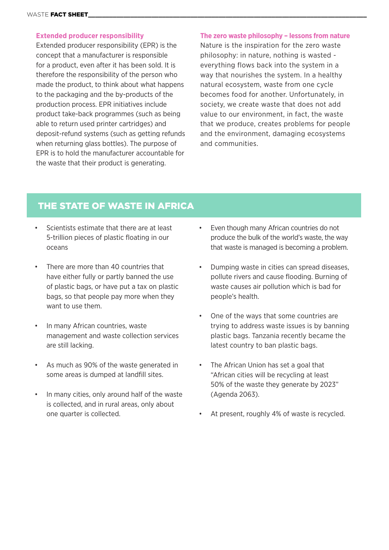#### **Extended producer responsibility**

Extended producer responsibility (EPR) is the concept that a manufacturer is responsible for a product, even after it has been sold. It is therefore the responsibility of the person who made the product, to think about what happens to the packaging and the by-products of the production process. EPR initiatives include product take-back programmes (such as being able to return used printer cartridges) and deposit-refund systems (such as getting refunds when returning glass bottles). The purpose of EPR is to hold the manufacturer accountable for the waste that their product is generating.

#### **The zero waste philosophy – lessons from nature**

Nature is the inspiration for the zero waste philosophy: in nature, nothing is wasted everything flows back into the system in a way that nourishes the system. In a healthy natural ecosystem, waste from one cycle becomes food for another. Unfortunately, in society, we create waste that does not add value to our environment, in fact, the waste that we produce, creates problems for people and the environment, damaging ecosystems and communities.

# THE STATE OF WASTE IN AFRICA

- Scientists estimate that there are at least 5-trillion pieces of plastic floating in our oceans
- There are more than 40 countries that have either fully or partly banned the use of plastic bags, or have put a tax on plastic bags, so that people pay more when they want to use them.
- In many African countries, waste management and waste collection services are still lacking.
- As much as 90% of the waste generated in some areas is dumped at landfill sites.
- In many cities, only around half of the waste is collected, and in rural areas, only about one quarter is collected.
- Even though many African countries do not produce the bulk of the world's waste, the way that waste is managed is becoming a problem.
- Dumping waste in cities can spread diseases, pollute rivers and cause flooding. Burning of waste causes air pollution which is bad for people's health.
- One of the ways that some countries are trying to address waste issues is by banning plastic bags. Tanzania recently became the latest country to ban plastic bags.
- The African Union has set a goal that "African cities will be recycling at least 50% of the waste they generate by 2023" (Agenda 2063).
- At present, roughly 4% of waste is recycled.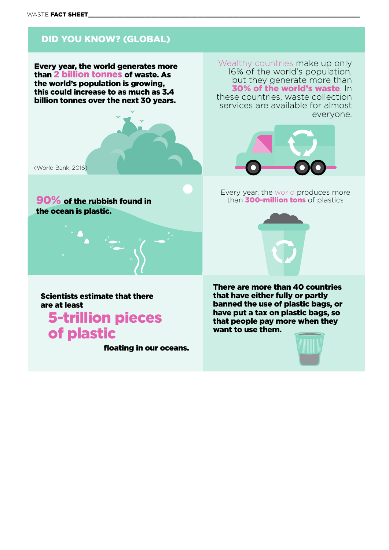# DID YOU KNOW? (GLOBAL)

Every year, the world generates more than 2 billion tonnes of waste. As the world's population is growing, this could increase to as much as 3.4 billion tonnes over the next 30 years.



the ocean is plastic.

Scientists estimate that there are at least

5-trillion pieces of plastic

floating in our oceans.

Wealthy countries make up only 16% of the world's population, but they generate more than 30% of the world's waste. In these countries, waste collection services are available for almost everyone.



Every year, the world produces more **90% of the rubbish found in** than **300-million tons** of plastics



There are more than 40 countries that have either fully or partly banned the use of plastic bags, or have put a tax on plastic bags, so that people pay more when they want to use them.

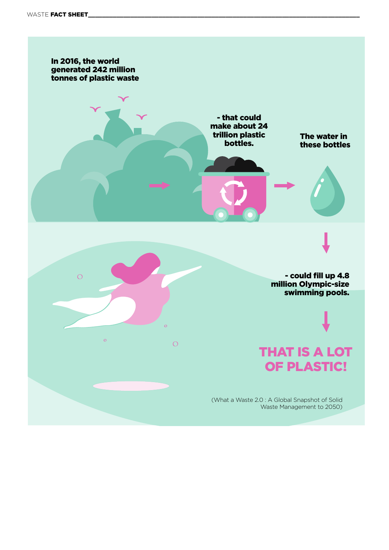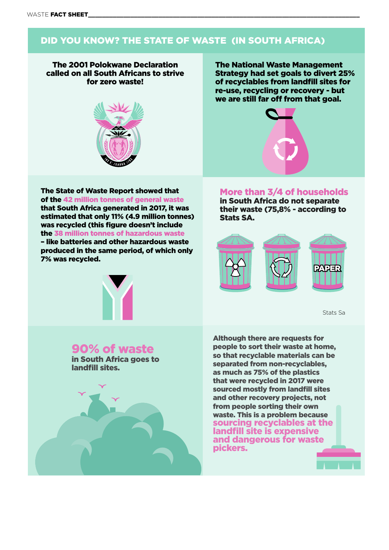# DID YOU KNOW? THE STATE OF WASTE (IN SOUTH AFRICA)

The 2001 Polokwane Declaration called on all South Africans to strive for zero waste!



The State of Waste Report showed that of the 42 million tonnes of general waste that South Africa generated in 2017, it was estimated that only 11% (4.9 million tonnes) was recycled (this figure doesn't include the 38 million tonnes of hazardous waste – like batteries and other hazardous waste produced in the same period, of which only 7% was recycled.



The National Waste Management Strategy had set goals to divert 25% of recyclables from landfill sites for re-use, recycling or recovery - but we are still far off from that goal.



# More than 3/4 of households

in South Africa do not separate their waste (75,8% - according to Stats SA.



[Stats Sa](http://www.statssa.gov.za/?p=11527).)

90% of waste

in South Africa goes to landfill sites.

Although there are requests for people to sort their waste at home, so that recyclable materials can be separated from non-recyclables, as much as 75% of the plastics that were recycled in 2017 were sourced mostly from landfill sites and other recovery projects, not from people sorting their own waste. This is a problem because sourcing recyclables at the landfill site is expensive and dangerous for waste pickers.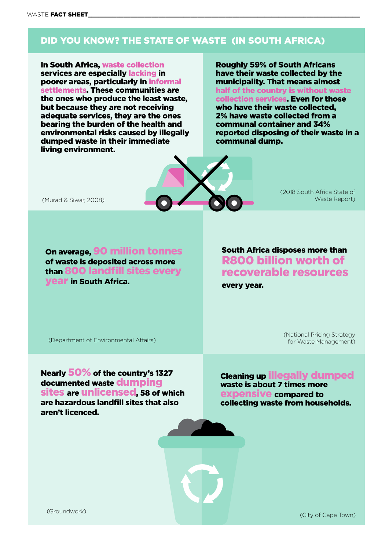# DID YOU KNOW? THE STATE OF WASTE (IN SOUTH AFRICA)

In South Africa, waste collection services are especially lacking in poorer areas, particularly in informal settlements. These communities are the ones who produce the least waste, but because they are not receiving adequate services, they are the ones bearing the burden of the health and environmental risks caused by illegally dumped waste in their immediate living environment.

Roughly 59% of South Africans have their waste collected by the municipality. That means almost half of the country is without waste collection services. Even for those who have their waste collected, 2% have waste collected from a communal container and 34% reported disposing of their waste in a communal dump.



(2018 South Africa State of Waste Report)

(Murad & Siwar, 2008)

On average, 90 million tonnes of waste is deposited across more than 800 landfill sites every year in South Africa.

South Africa disposes more than R800 billion worth of recoverable resources every year.

(Department of Environmental Affairs)

 (National Pricing Strategy for Waste Management)

Nearly 50% of the country's 1327 documented waste dumping sites are unlicensed, 58 of which are hazardous landfill sites that also aren't licenced.

Cleaning up illegally dumped waste is about 7 times more expensive compared to collecting waste from households.

(City of Cape Town) [\(Groundwork\)](Groundwork, https://www.engineeringnews.co.za/article/sa-landfill-sites-a-ticking-timebomb-2018-11-12/rep_id:4136)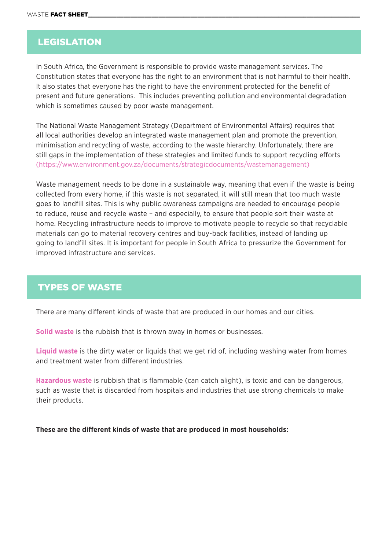# LEGISLATION

In South Africa, the Government is responsible to provide waste management services. The Constitution states that everyone has the right to an environment that is not harmful to their health. It also states that everyone has the right to have the environment protected for the benefit of present and future generations. This includes preventing pollution and environmental degradation which is sometimes caused by poor waste management.

The National Waste Management Strategy (Department of Environmental Affairs) requires that all local authorities develop an integrated waste management plan and promote the prevention, minimisation and recycling of waste, according to the waste hierarchy. Unfortunately, there are still gaps in the implementation of these strategies and limited funds to support recycling efforts [\(https://www.environment.gov.za/documents/strategicdocuments/wastemanagement\)](https://www.environment.gov.za/documents/strategicdocuments/wastemanagement)

Waste management needs to be done in a sustainable way, meaning that even if the waste is being collected from every home, if this waste is not separated, it will still mean that too much waste goes to landfill sites. This is why public awareness campaigns are needed to encourage people to reduce, reuse and recycle waste – and especially, to ensure that people sort their waste at home. Recycling infrastructure needs to improve to motivate people to recycle so that recyclable materials can go to material recovery centres and buy-back facilities, instead of landing up going to landfill sites. It is important for people in South Africa to pressurize the Government for improved infrastructure and services.

# TYPES OF WASTE

There are many different kinds of waste that are produced in our homes and our cities.

**Solid waste** is the rubbish that is thrown away in homes or businesses.

**Liquid waste** is the dirty water or liquids that we get rid of, including washing water from homes and treatment water from different industries.

**Hazardous waste** is rubbish that is flammable (can catch alight), is toxic and can be dangerous, such as waste that is discarded from hospitals and industries that use strong chemicals to make their products.

**These are the different kinds of waste that are produced in most households:**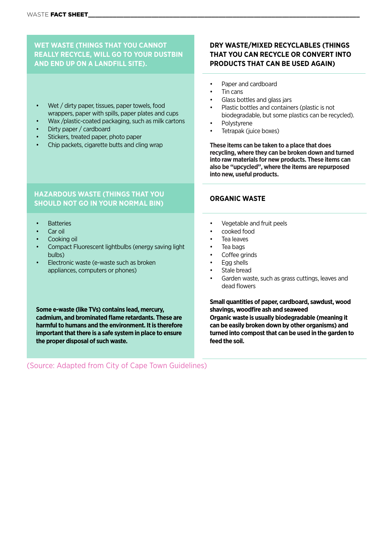#### **WET WASTE (THINGS THAT YOU CANNOT REALLY RECYCLE, WILL GO TO YOUR DUSTBIN AND END UP ON A LANDFILL SITE).**

#### Wet / dirty paper, tissues, paper towels, food wrappers, paper with spills, paper plates and cups

- 
- Wax /plastic-coated packaging, such as milk cartons
- Dirty paper / cardboard
- Stickers, treated paper, photo paper
- Chip packets, cigarette butts and cling wrap

#### **DRY WASTE/MIXED RECYCLABLES (THINGS THAT YOU CAN RECYCLE OR CONVERT INTO PRODUCTS THAT CAN BE USED AGAIN)**

- Paper and cardboard
- Tin cans
- Glass bottles and glass jars
- Plastic bottles and containers (plastic is not biodegradable, but some plastics can be recycled).
- **Polystyrene**
- Tetrapak (juice boxes)

**These items can be taken to a place that does recycling, where they can be broken down and turned into raw materials for new products. These items can also be "upcycled", where the items are repurposed into new, useful products.** 

#### **HAZARDOUS WASTE (THINGS THAT YOU SHOULD NOT GO IN YOUR NORMAL BIN) ORGANIC WASTE**

- **Batteries**
- Car oil
- Cooking oil
- Compact Fluorescent lightbulbs (energy saving light bulbs)
- Electronic waste (e-waste such as broken appliances, computers or phones)

**Some e-waste (like TVs) contains lead, mercury, cadmium, and brominated flame retardants. These are harmful to humans and the environment. It is therefore important that there is a safe system in place to ensure the proper disposal of such waste.**

- Vegetable and fruit peels
- cooked food
- Tea leaves
- Tea bags
- Coffee grinds
- Egg shells
- Stale bread
- Garden waste, such as grass cuttings, leaves and dead flowers

**Small quantities of paper, cardboard, sawdust, wood shavings, woodfire ash and seaweed Organic waste is usually biodegradable (meaning it can be easily broken down by other organisms) and turned into compost that can be used in the garden to feed the soil.**

(Source: Adapted from City of Cape Town Guidelines)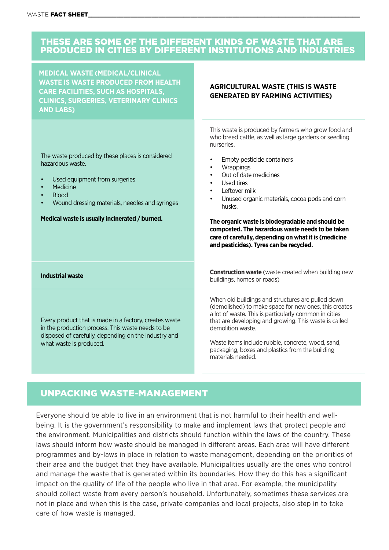### THESE ARE SOME OF THE DIFFERENT KINDS OF WASTE THAT ARE PRODUCED IN CITIES BY DIFFERENT INSTITUTIONS AND INDUSTRIES

**MEDICAL WASTE (MEDICAL/CLINICAL WASTE IS WASTE PRODUCED FROM HEALTH CARE FACILITIES, SUCH AS HOSPITALS, CLINICS, SURGERIES, VETERINARY CLINICS AND LABS)**

The waste produced by these places is considered hazardous waste.

- Used equipment from surgeries
- **Medicine**
- Blood
- Wound dressing materials, needles and syringes

**Medical waste is usually incinerated / burned.** 

**AGRICULTURAL WASTE (THIS IS WASTE GENERATED BY FARMING ACTIVITIES)**

This waste is produced by farmers who grow food and who breed cattle, as well as large gardens or seedling nurseries.

- Empty pesticide containers
- **Wrappings**
- Out of date medicines
- Used tires
- Leftover milk
- Unused organic materials, cocoa pods and corn husks.

**The organic waste is biodegradable and should be composted. The hazardous waste needs to be taken care of carefully, depending on what it is (medicine and pesticides). Tyres can be recycled.** 

Every product that is made in a factory, creates waste in the production process. This waste needs to be disposed of carefully, depending on the industry and what waste is produced.

**Industrial waste Construction waste** (waste created when building new buildings, homes or roads)

> When old buildings and structures are pulled down (demolished) to make space for new ones, this creates a lot of waste. This is particularly common in cities that are developing and growing. This waste is called demolition waste.

Waste items include rubble, concrete, wood, sand, packaging, boxes and plastics from the building materials needed.

# UNPACKING WASTE-MANAGEMENT

Everyone should be able to live in an environment that is not harmful to their health and wellbeing. It is the government's responsibility to make and implement laws that protect people and the environment. Municipalities and districts should function within the laws of the country. These laws should inform how waste should be managed in different areas. Each area will have different programmes and by-laws in place in relation to waste management, depending on the priorities of their area and the budget that they have available. Municipalities usually are the ones who control and manage the waste that is generated within its boundaries. How they do this has a significant impact on the quality of life of the people who live in that area. For example, the municipality should collect waste from every person's household. Unfortunately, sometimes these services are not in place and when this is the case, private companies and local projects, also step in to take care of how waste is managed.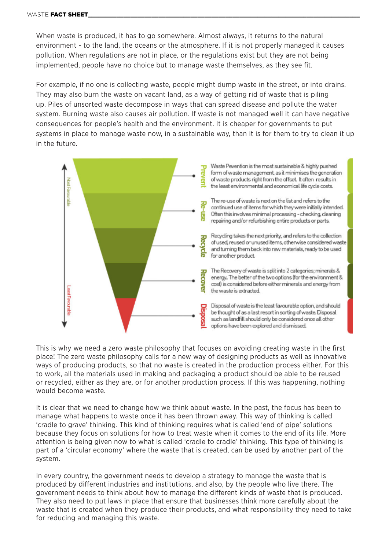When waste is produced, it has to go somewhere. Almost always, it returns to the natural environment - to the land, the oceans or the atmosphere. If it is not properly managed it causes pollution. When regulations are not in place, or the regulations exist but they are not being implemented, people have no choice but to manage waste themselves, as they see fit.

For example, if no one is collecting waste, people might dump waste in the street, or into drains. They may also burn the waste on vacant land, as a way of getting rid of waste that is piling up. Piles of unsorted waste decompose in ways that can spread disease and pollute the water system. Burning waste also causes air pollution. If waste is not managed well it can have negative consequences for people's health and the environment. It is cheaper for governments to put systems in place to manage waste now, in a sustainable way, than it is for them to try to clean it up in the future.



This is why we need a zero waste philosophy that focuses on avoiding creating waste in the first place! The zero waste philosophy calls for a new way of designing products as well as innovative ways of producing products, so that no waste is created in the production process either. For this to work, all the materials used in making and packaging a product should be able to be reused or recycled, either as they are, or for another production process. If this was happening, nothing would become waste.

It is clear that we need to change how we think about waste. In the past, the focus has been to manage what happens to waste once it has been thrown away. This way of thinking is called 'cradle to grave' thinking. This kind of thinking requires what is called 'end of pipe' solutions because they focus on solutions for how to treat waste when it comes to the end of its life. More attention is being given now to what is called 'cradle to cradle' thinking. This type of thinking is part of a 'circular economy' where the waste that is created, can be used by another part of the system.

In every country, the government needs to develop a strategy to manage the waste that is produced by different industries and institutions, and also, by the people who live there. The government needs to think about how to manage the different kinds of waste that is produced. They also need to put laws in place that ensure that businesses think more carefully about the waste that is created when they produce their products, and what responsibility they need to take for reducing and managing this waste.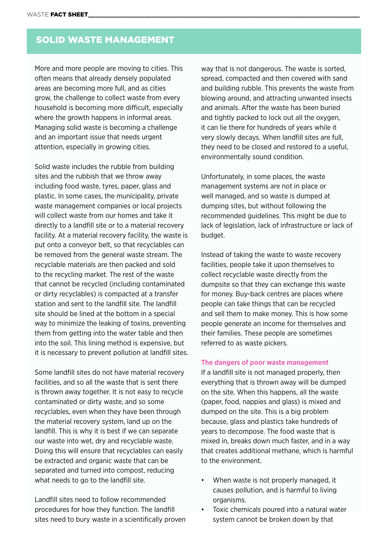# SOLID WASTE MANAGEMENT

More and more people are moving to cities. This often means that already densely populated areas are becoming more full, and as cities grow, the challenge to collect waste from every household is becoming more difficult, especially where the growth happens in informal areas. Managing solid waste is becoming a challenge and an important issue that needs urgent attention, especially in growing cities.

Solid waste includes the rubble from building sites and the rubbish that we throw away including food waste, tyres, paper, glass and plastic. In some cases, the municipality, private waste management companies or local projects will collect waste from our homes and take it directly to a landfill site or to a material recovery facility. At a material recovery facility, the waste is put onto a conveyor belt, so that recyclables can be removed from the general waste stream. The recyclable materials are then packed and sold to the recycling market. The rest of the waste that cannot be recycled (including contaminated or dirty recyclables) is compacted at a transfer station and sent to the landfill site. The landfill site should be lined at the bottom in a special way to minimize the leaking of toxins, preventing them from getting into the water table and then into the soil. This lining method is expensive, but it is necessary to prevent pollution at landfill sites.

Some landfill sites do not have material recovery facilities, and so all the waste that is sent there is thrown away together. It is not easy to recycle contaminated or dirty waste, and so some recyclables, even when they have been through the material recovery system, land up on the landfill. This is why it is best if we can separate our waste into wet, dry and recyclable waste. Doing this will ensure that recyclables can easily be extracted and organic waste that can be separated and turned into compost, reducing what needs to go to the landfill site.

Landfill sites need to follow recommended procedures for how they function. The landfill sites need to bury waste in a scientifically proven way that is not dangerous. The waste is sorted, spread, compacted and then covered with sand and building rubble. This prevents the waste from blowing around, and attracting unwanted insects and animals. After the waste has been buried and tightly packed to lock out all the oxygen, it can lie there for hundreds of years while it very slowly decays. When landfill sites are full, they need to be closed and restored to a useful, environmentally sound condition.

Unfortunately, in some places, the waste management systems are not in place or well managed, and so waste is dumped at dumping sites, but without following the recommended guidelines. This might be due to lack of legislation, lack of infrastructure or lack of budget.

Instead of taking the waste to waste recovery facilities, people take it upon themselves to collect recyclable waste directly from the dumpsite so that they can exchange this waste for money. Buy-back centres are places where people can take things that can be recycled and sell them to make money. This is how some people generate an income for themselves and their families. These people are sometimes referred to as waste pickers.

#### **The dangers of poor waste management**

If a landfill site is not managed properly, then everything that is thrown away will be dumped on the site. When this happens, all the waste (paper, food, nappies and glass) is mixed and dumped on the site. This is a big problem because, glass and plastics take hundreds of years to decompose. The food waste that is mixed in, breaks down much faster, and in a way that creates additional methane, which is harmful to the environment.

- When waste is not properly managed, it causes pollution, and is harmful to living organisms.
- Toxic chemicals poured into a natural water system cannot be broken down by that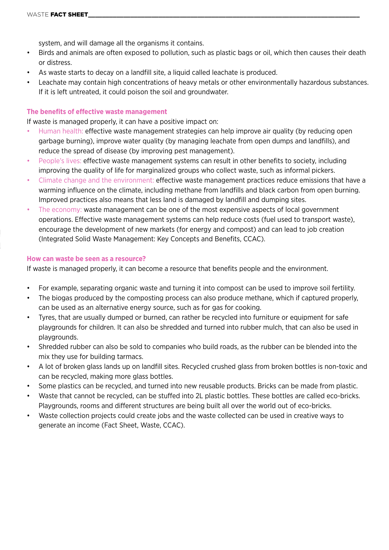system, and will damage all the organisms it contains.

- Birds and animals are often exposed to pollution, such as plastic bags or oil, which then causes their death or distress.
- As waste starts to decay on a landfill site, a liquid called leachate is produced.
- Leachate may contain high concentrations of heavy metals or other environmentally hazardous substances. If it is left untreated, it could poison the soil and groundwater.

#### **The benefits of effective waste management**

If waste is managed properly, it can have a positive impact on:

- Human health: effective waste management strategies can help improve air quality (by reducing open garbage burning), improve water quality (by managing leachate from open dumps and landfills), and reduce the spread of disease (by improving pest management).
- People's lives: effective waste management systems can result in other benefits to society, including improving the quality of life for marginalized groups who collect waste, such as informal pickers.
- Climate change and the environment: effective waste management practices reduce emissions that have a warming influence on the climate, including methane from landfills and black carbon from open burning. Improved practices also means that less land is damaged by landfill and dumping sites.
- The economy: waste management can be one of the most expensive aspects of local government operations. Effective waste management systems can help reduce costs (fuel used to transport waste), encourage the development of new markets (for energy and compost) and can lead to job creation (Integrated Solid Waste Management: Key Concepts and Benefits, CCAC).

#### **How can waste be seen as a resource?**

If waste is managed properly, it can become a resource that benefits people and the environment.

- For example, separating organic waste and turning it into compost can be used to improve soil fertility.
- The biogas produced by the composting process can also produce methane, which if captured properly, can be used as an alternative energy source, such as for gas for cooking.
- Tyres, that are usually dumped or burned, can rather be recycled into furniture or equipment for safe playgrounds for children. It can also be shredded and turned into rubber mulch, that can also be used in playgrounds.
- Shredded rubber can also be sold to companies who build roads, as the rubber can be blended into the mix they use for building tarmacs.
- A lot of broken glass lands up on landfill sites. Recycled crushed glass from broken bottles is non-toxic and can be recycled, making more glass bottles.
- Some plastics can be recycled, and turned into new reusable products. Bricks can be made from plastic.
- Waste that cannot be recycled, can be stuffed into 2L plastic bottles. These bottles are called eco-bricks. Playgrounds, rooms and different structures are being built all over the world out of eco-bricks.
- Waste collection projects could create jobs and the waste collected can be used in creative ways to generate an income (Fact Sheet, Waste, CCAC).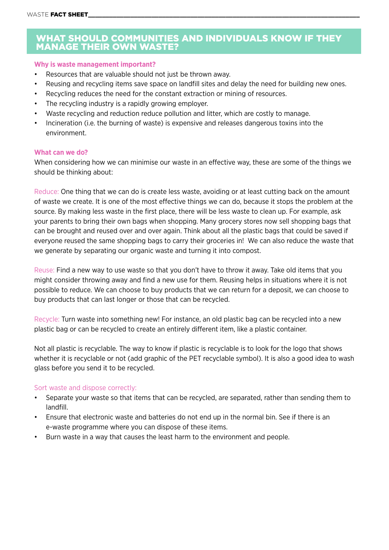### WHAT SHOULD COMMUNITIES AND INDIVIDUALS KNOW IF THEY MANAGE THEIR OWN WASTE?

#### **Why is waste management important?**

- Resources that are valuable should not just be thrown away.
- Reusing and recycling items save space on landfill sites and delay the need for building new ones.
- Recycling reduces the need for the constant extraction or mining of resources.
- The recycling industry is a rapidly growing employer.
- Waste recycling and reduction reduce pollution and litter, which are costly to manage.
- Incineration (i.e. the burning of waste) is expensive and releases dangerous toxins into the environment.

#### **What can we do?**

When considering how we can minimise our waste in an effective way, these are some of the things we should be thinking about:

Reduce: One thing that we can do is create less waste, avoiding or at least cutting back on the amount of waste we create. It is one of the most effective things we can do, because it stops the problem at the source. By making less waste in the first place, there will be less waste to clean up. For example, ask your parents to bring their own bags when shopping. Many grocery stores now sell shopping bags that can be brought and reused over and over again. Think about all the plastic bags that could be saved if everyone reused the same shopping bags to carry their groceries in! We can also reduce the waste that we generate by separating our organic waste and turning it into compost.

Reuse: Find a new way to use waste so that you don't have to throw it away. Take old items that you might consider throwing away and find a new use for them. Reusing helps in situations where it is not possible to reduce. We can choose to buy products that we can return for a deposit, we can choose to buy products that can last longer or those that can be recycled.

Recycle: Turn waste into something new! For instance, an old plastic bag can be recycled into a new plastic bag or can be recycled to create an entirely different item, like a plastic container.

Not all plastic is recyclable. The way to know if plastic is recyclable is to look for the logo that shows whether it is recyclable or not (add graphic of the PET recyclable symbol). It is also a good idea to wash glass before you send it to be recycled.

#### Sort waste and dispose correctly:

- Separate your waste so that items that can be recycled, are separated, rather than sending them to landfill.
- Ensure that electronic waste and batteries do not end up in the normal bin. See if there is an e-waste programme where you can dispose of these items.
- Burn waste in a way that causes the least harm to the environment and people.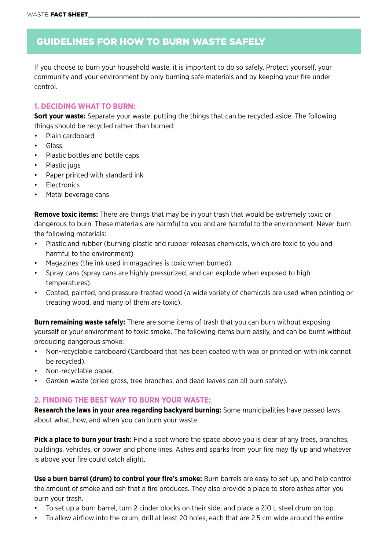# GUIDELINES FOR HOW TO BURN WASTE SAFELY

If you choose to burn your household waste, it is important to do so safely. Protect yourself, your community and your environment by only burning safe materials and by keeping your fire under control.

#### **1. DECIDING WHAT TO BURN:**

**Sort your waste:** Separate your waste, putting the things that can be recycled aside. The following things should be recycled rather than burned:

- Plain cardboard
- Glass
- Plastic bottles and bottle caps
- Plastic jugs
- Paper printed with standard ink
- **Electronics**
- Metal beverage cans

**Remove toxic items:** There are things that may be in your trash that would be extremely toxic or dangerous to burn. These materials are harmful to you and are harmful to the environment. Never burn the following materials:

- Plastic and rubber (burning plastic and rubber releases chemicals, which are toxic to you and harmful to the environment)
- Magazines (the ink used in magazines is toxic when burned).
- Spray cans (spray cans are highly pressurized, and can explode when exposed to high temperatures).
- Coated, painted, and pressure-treated wood (a wide variety of chemicals are used when painting or treating wood, and many of them are toxic).

**Burn remaining waste safely:** There are some items of trash that you can burn without exposing yourself or your environment to toxic smoke. The following items burn easily, and can be burnt without producing dangerous smoke:

- Non-recyclable cardboard (Cardboard that has been coated with wax or printed on with ink cannot be recycled).
- Non-recyclable paper.
- Garden waste (dried grass, tree branches, and dead leaves can all burn safely).

#### **2. FINDING THE BEST WAY TO BURN YOUR WASTE:**

**Research the laws in your area regarding backyard burning:** Some municipalities have passed laws about what, how, and when you can burn your waste.

**Pick a place to burn your trash:** Find a spot where the space above you is clear of any trees, branches, buildings, vehicles, or power and phone lines. Ashes and sparks from your fire may fly up and whatever is above your fire could catch alight.

**Use a burn barrel (drum) to control your fire's smoke:** Burn barrels are easy to set up, and help control the amount of smoke and ash that a fire produces. They also provide a place to store ashes after you burn your trash.

- To set up a burn barrel, turn 2 cinder blocks on their side, and place a 210 L steel drum on top.
- To allow airflow into the drum, drill at least 20 holes, each that are 2.5 cm wide around the entire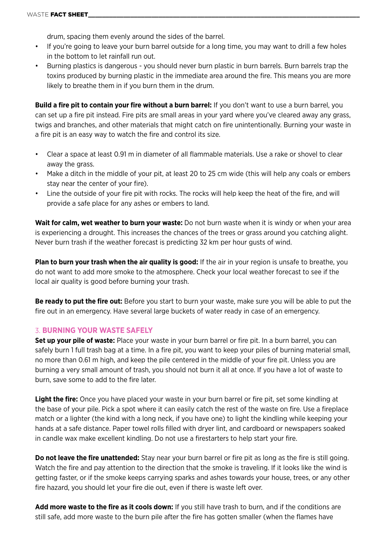drum, spacing them evenly around the sides of the barrel.

- If you're going to leave your burn barrel outside for a long time, you may want to drill a few holes in the bottom to let rainfall run out.
- Burning plastics is dangerous you should never burn plastic in burn barrels. Burn barrels trap the toxins produced by burning plastic in the immediate area around the fire. This means you are more likely to breathe them in if you burn them in the drum.

**Build a fire pit to contain your fire without a burn barrel:** If you don't want to use a burn barrel, you can set up a fire pit instead. Fire pits are small areas in your yard where you've cleared away any grass, twigs and branches, and other materials that might catch on fire unintentionally. Burning your waste in a fire pit is an easy way to watch the fire and control its size.

- Clear a space at least 0.91 m in diameter of all flammable materials. Use a rake or shovel to clear away the grass.
- Make a ditch in the middle of your pit, at least 20 to 25 cm wide (this will help any coals or embers stay near the center of your fire).
- Line the outside of your fire pit with rocks. The rocks will help keep the heat of the fire, and will provide a safe place for any ashes or embers to land.

Wait for calm, wet weather to burn your waste: Do not burn waste when it is windy or when your area is experiencing a drought. This increases the chances of the trees or grass around you catching alight. Never burn trash if the weather forecast is predicting 32 km per hour gusts of wind.

**Plan to burn your trash when the air quality is good:** If the air in your region is unsafe to breathe, you do not want to add more smoke to the atmosphere. Check your local weather forecast to see if the local air quality is good before burning your trash.

**Be ready to put the fire out:** Before you start to burn your waste, make sure you will be able to put the fire out in an emergency. Have several large buckets of water ready in case of an emergency.

#### 3. **BURNING YOUR WASTE SAFELY**

**Set up your pile of waste:** Place your waste in your burn barrel or fire pit. In a burn barrel, you can safely burn 1 full trash bag at a time. In a fire pit, you want to keep your piles of burning material small, no more than 0.61 m high, and keep the pile centered in the middle of your fire pit. Unless you are burning a very small amount of trash, you should not burn it all at once. If you have a lot of waste to burn, save some to add to the fire later.

**Light the fire:** Once you have placed your waste in your burn barrel or fire pit, set some kindling at the base of your pile. Pick a spot where it can easily catch the rest of the waste on fire. Use a fireplace match or a lighter (the kind with a long neck, if you have one) to light the kindling while keeping your hands at a safe distance. Paper towel rolls filled with dryer lint, and cardboard or newspapers soaked in candle wax make excellent kindling. Do not use a firestarters to help start your fire.

**Do not leave the fire unattended:** Stay near your burn barrel or fire pit as long as the fire is still going. Watch the fire and pay attention to the direction that the smoke is traveling. If it looks like the wind is getting faster, or if the smoke keeps carrying sparks and ashes towards your house, trees, or any other fire hazard, you should let your fire die out, even if there is waste left over.

**Add more waste to the fire as it cools down:** If you still have trash to burn, and if the conditions are still safe, add more waste to the burn pile after the fire has gotten smaller (when the flames have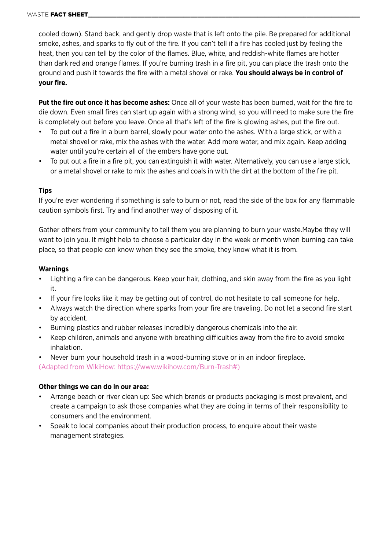cooled down). Stand back, and gently drop waste that is left onto the pile. Be prepared for additional smoke, ashes, and sparks to fly out of the fire. If you can't tell if a fire has cooled just by feeling the heat, then you can tell by the color of the flames. Blue, white, and reddish-white flames are hotter than dark red and orange flames. If you're burning trash in a fire pit, you can place the trash onto the ground and push it towards the fire with a metal shovel or rake. **You should always be in control of your fire.**

**Put the fire out once it has become ashes:** Once all of your waste has been burned, wait for the fire to die down. Even small fires can start up again with a strong wind, so you will need to make sure the fire is completely out before you leave. Once all that's left of the fire is glowing ashes, put the fire out.

- To put out a fire in a burn barrel, slowly pour water onto the ashes. With a large stick, or with a metal shovel or rake, mix the ashes with the water. Add more water, and mix again. Keep adding water until you're certain all of the embers have gone out.
- To put out a fire in a fire pit, you can extinguish it with water. Alternatively, you can use a large stick, or a metal shovel or rake to mix the ashes and coals in with the dirt at the bottom of the fire pit.

#### **Tips**

If you're ever wondering if something is safe to burn or not, read the side of the box for any flammable caution symbols first. Try and find another way of disposing of it.

Gather others from your community to tell them you are planning to burn your waste.Maybe they will want to join you. It might help to choose a particular day in the week or month when burning can take place, so that people can know when they see the smoke, they know what it is from.

#### **Warnings**

- Lighting a fire can be dangerous. Keep your hair, clothing, and skin away from the fire as you light it.
- If your fire looks like it may be getting out of control, do not hesitate to call someone for help.
- Always watch the direction where sparks from your fire are traveling. Do not let a second fire start by accident.
- Burning plastics and rubber releases incredibly dangerous chemicals into the air.
- Keep children, animals and anyone with breathing difficulties away from the fire to avoid smoke inhalation.
- Never burn your household trash in a wood-burning stove or in an indoor fireplace.

(Adapted from WikiHow: [https://www.wikihow.com/Burn-Trash#](https://www.wikihow.com/Burn-Trash))

#### **Other things we can do in our area:**

- Arrange beach or river clean up: See which brands or products packaging is most prevalent, and create a campaign to ask those companies what they are doing in terms of their responsibility to consumers and the environment.
- Speak to local companies about their production process, to enquire about their waste management strategies.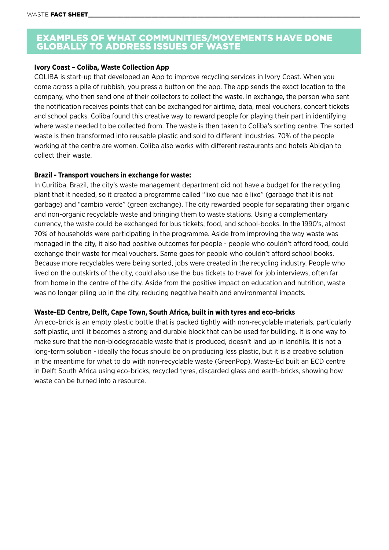### EXAMPLES OF WHAT COMMUNITIES/MOVEMENTS HAVE DONE GLOBALLY TO ADDRESS ISSUES OF WASTE

#### **Ivory Coast – Coliba, Waste Collection App**

COLIBA is start-up that developed an App to improve recycling services in Ivory Coast. When you come across a pile of rubbish, you press a button on the app. The app sends the exact location to the company, who then send one of their collectors to collect the waste. In exchange, the person who sent the notification receives points that can be exchanged for airtime, data, meal vouchers, concert tickets and school packs. Coliba found this creative way to reward people for playing their part in identifying where waste needed to be collected from. The waste is then taken to Coliba's sorting centre. The sorted waste is then transformed into reusable plastic and sold to different industries. 70% of the people working at the centre are women. Coliba also works with different restaurants and hotels Abidjan to collect their waste.

#### **Brazil - Transport vouchers in exchange for waste:**

In Curitiba, Brazil, the city's waste management department did not have a budget for the recycling plant that it needed, so it created a programme called "lixo que nao è lixo" (garbage that it is not garbage) and "cambio verde" (green exchange). The city rewarded people for separating their organic and non-organic recyclable waste and bringing them to waste stations. Using a complementary currency, the waste could be exchanged for bus tickets, food, and school-books. In the 1990's, almost 70% of households were participating in the programme. Aside from improving the way waste was managed in the city, it also had positive outcomes for people - people who couldn't afford food, could exchange their waste for meal vouchers. Same goes for people who couldn't afford school books. Because more recyclables were being sorted, jobs were created in the recycling industry. People who lived on the outskirts of the city, could also use the bus tickets to travel for job interviews, often far from home in the centre of the city. Aside from the positive impact on education and nutrition, waste was no longer piling up in the city, reducing negative health and environmental impacts.

#### **Waste-ED Centre, Delft, Cape Town, South Africa, built in with tyres and eco-bricks**

An eco-brick is an empty plastic bottle that is packed tightly with non-recyclable materials, particularly soft plastic, until it becomes a strong and durable block that can be used for building. It is one way to make sure that the non-biodegradable waste that is produced, doesn't land up in landfills. It is not a long-term solution - ideally the focus should be on producing less plastic, but it is a creative solution in the meantime for what to do with non-recyclable waste (GreenPop). Waste-Ed built an ECD centre in Delft South Africa using eco-bricks, recycled tyres, discarded glass and earth-bricks, showing how waste can be turned into a resource.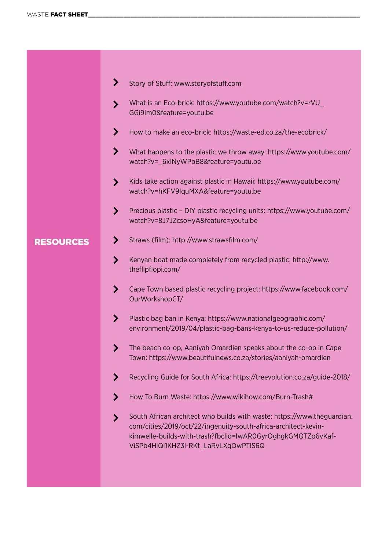|                  | ≻<br>Story of Stuff: www.storyofstuff.com                                                                                                                                                                                                             |
|------------------|-------------------------------------------------------------------------------------------------------------------------------------------------------------------------------------------------------------------------------------------------------|
|                  | What is an Eco-brick: https://www.youtube.com/watch?v=rVU_<br>ゝ<br>GGi9im0&feature=youtu.be                                                                                                                                                           |
|                  | ⋗<br>How to make an eco-brick: https://waste-ed.co.za/the-ecobrick/                                                                                                                                                                                   |
|                  | ⋗<br>What happens to the plastic we throw away: https://www.youtube.com/<br>watch?v= 6xlNyWPpB8&feature=youtu.be                                                                                                                                      |
|                  | Kids take action against plastic in Hawaii: https://www.youtube.com/<br>$\blacktriangleright$<br>watch?v=hKFV9IquMXA&feature=youtu.be                                                                                                                 |
|                  | Precious plastic - DIY plastic recycling units: https://www.youtube.com/<br>$\blacktriangleright$<br>watch?v=8J7JZcsoHyA&feature=youtu.be                                                                                                             |
| <b>RESOURCES</b> | Straws (film): http://www.strawsfilm.com/<br>⋗                                                                                                                                                                                                        |
|                  | Kenyan boat made completely from recycled plastic: http://www.<br>⋗<br>theflipflopi.com/                                                                                                                                                              |
|                  | ゝ<br>Cape Town based plastic recycling project: https://www.facebook.com/<br>OurWorkshopCT/                                                                                                                                                           |
|                  | Plastic bag ban in Kenya: https://www.nationalgeographic.com/<br>⋗<br>environment/2019/04/plastic-bag-bans-kenya-to-us-reduce-pollution/                                                                                                              |
|                  | The beach co-op, Aaniyah Omardien speaks about the co-op in Cape<br>Town: https://www.beautifulnews.co.za/stories/aaniyah-omardien                                                                                                                    |
|                  | Recycling Guide for South Africa: https://treevolution.co.za/guide-2018/<br>⋗                                                                                                                                                                         |
|                  | How To Burn Waste: https://www.wikihow.com/Burn-Trash#<br>⋗                                                                                                                                                                                           |
|                  | South African architect who builds with waste: https://www.theguardian.<br>ゝ<br>com/cities/2019/oct/22/ingenuity-south-africa-architect-kevin-<br>kimwelle-builds-with-trash?fbclid=IwAR0GyrOghgkGMQTZp6vKaf-<br>ViSPb4HIQI1KHZ3I-RKt_LaRvLXqOwPTIS6Q |
|                  |                                                                                                                                                                                                                                                       |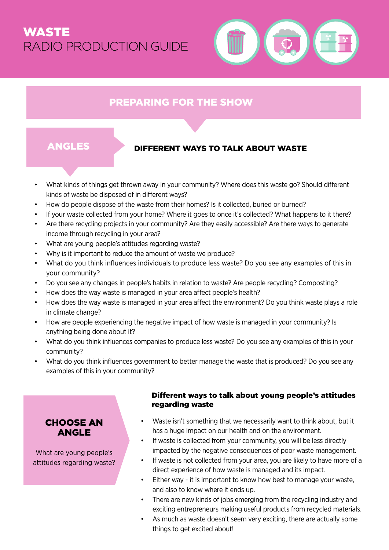# WASTE RADIO PRODUCTION GUIDE



# PREPARING FOR THE SHOW

# ANGLES DIFFERENT WAYS TO TALK ABOUT WASTE

- What kinds of things get thrown away in your community? Where does this waste go? Should different kinds of waste be disposed of in different ways?
- How do people dispose of the waste from their homes? Is it collected, buried or burned?
- If your waste collected from your home? Where it goes to once it's collected? What happens to it there?
- Are there recycling projects in your community? Are they easily accessible? Are there ways to generate income through recycling in your area?
- What are young people's attitudes regarding waste?
- Why is it important to reduce the amount of waste we produce?
- What do you think influences individuals to produce less waste? Do you see any examples of this in your community?
- Do you see any changes in people's habits in relation to waste? Are people recycling? Composting?
- How does the way waste is managed in your area affect people's health?
- How does the way waste is managed in your area affect the environment? Do you think waste plays a role in climate change?
- How are people experiencing the negative impact of how waste is managed in your community? Is anything being done about it?
- What do you think influences companies to produce less waste? Do you see any examples of this in your community?
- What do you think influences government to better manage the waste that is produced? Do you see any examples of this in your community?

### CHOOSE AN ANGLE

What are young people's attitudes regarding waste?

#### Different ways to talk about young people's attitudes regarding waste

- Waste isn't something that we necessarily want to think about, but it has a huge impact on our health and on the environment.
- If waste is collected from your community, you will be less directly impacted by the negative consequences of poor waste management.
- If waste is not collected from your area, you are likely to have more of a direct experience of how waste is managed and its impact.
- Either way it is important to know how best to manage your waste, and also to know where it ends up.
- There are new kinds of jobs emerging from the recycling industry and exciting entrepreneurs making useful products from recycled materials.
- As much as waste doesn't seem very exciting, there are actually some things to get excited about!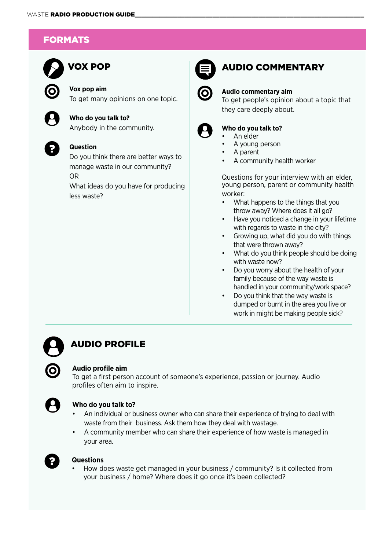# FORMATS



# VOX POP **EXAMPLE AUDIO COMMENTARY**

**Vox pop aim** To get many opinions on one topic.

**Who do you talk to?** Anybody in the community.



#### **Question**

Do you think there are better ways to manage waste in our community? OR

What ideas do you have for producing less waste?



#### **Audio commentary aim**

To get people's opinion about a topic that they care deeply about.



#### **Who do you talk to?**

- An elder
- A young person
- A parent
- A community health worker

Questions for your interview with an elder, young person, parent or community health worker:

- What happens to the things that you throw away? Where does it all go?
- Have you noticed a change in your lifetime with regards to waste in the city?
- Growing up, what did you do with things that were thrown away?
- What do you think people should be doing with waste now?
- Do you worry about the health of your family because of the way waste is handled in your community/work space?
- Do you think that the way waste is dumped or burnt in the area you live or work in might be making people sick?

# AUDIO PROFILE

#### **Audio profile aim**

To get a first person account of someone's experience, passion or journey. Audio profiles often aim to inspire.



#### **Who do you talk to?**

- An individual or business owner who can share their experience of trying to deal with waste from their business. Ask them how they deal with wastage.
- A community member who can share their experience of how waste is managed in your area.



#### **Questions**

• How does waste get managed in your business / community? Is it collected from your business / home? Where does it go once it's been collected?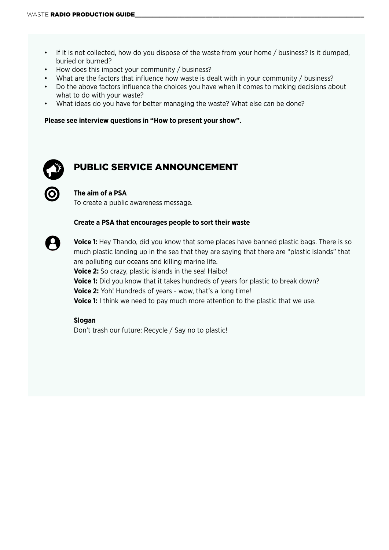- If it is not collected, how do you dispose of the waste from your home / business? Is it dumped, buried or burned?
- How does this impact your community / business?
- What are the factors that influence how waste is dealt with in your community / business?
- Do the above factors influence the choices you have when it comes to making decisions about what to do with your waste?
- What ideas do you have for better managing the waste? What else can be done?

#### **Please see interview questions in "How to present your show".**



# PUBLIC SERVICE ANNOUNCEMENT

#### **The aim of a PSA**

To create a public awareness message.

#### **Create a PSA that encourages people to sort their waste**



**Voice 1:** Hey Thando, did you know that some places have banned plastic bags. There is so much plastic landing up in the sea that they are saying that there are "plastic islands" that are polluting our oceans and killing marine life.

**Voice 2:** So crazy, plastic islands in the sea! Haibo! **Voice 1:** Did you know that it takes hundreds of years for plastic to break down? **Voice 2:** Yoh! Hundreds of years - wow, that's a long time! **Voice 1:** I think we need to pay much more attention to the plastic that we use.

#### **Slogan**

Don't trash our future: Recycle / Say no to plastic!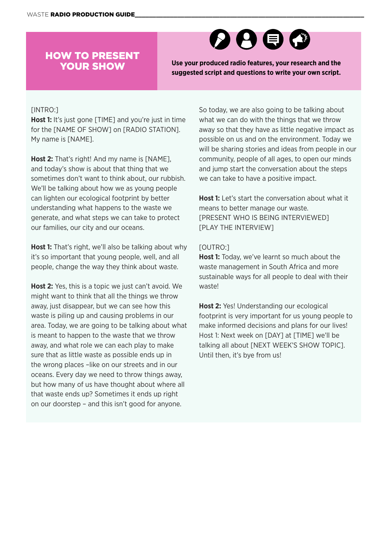# HOW TO PRESENT YOUR SHOW



**Use your produced radio features, your research and the suggested script and questions to write your own script.** 

#### [INTRO:]

**Host 1:** It's just gone [TIME] and you're just in time for the [NAME OF SHOW] on [RADIO STATION]. My name is [NAME].

**Host 2:** That's right! And my name is [NAME], and today's show is about that thing that we sometimes don't want to think about, our rubbish. We'll be talking about how we as young people can lighten our ecological footprint by better understanding what happens to the waste we generate, and what steps we can take to protect our families, our city and our oceans.

**Host 1:** That's right, we'll also be talking about why it's so important that young people, well, and all people, change the way they think about waste.

**Host 2:** Yes, this is a topic we just can't avoid. We might want to think that all the things we throw away, just disappear, but we can see how this waste is piling up and causing problems in our area. Today, we are going to be talking about what is meant to happen to the waste that we throw away, and what role we can each play to make sure that as little waste as possible ends up in the wrong places –like on our streets and in our oceans. Every day we need to throw things away, but how many of us have thought about where all that waste ends up? Sometimes it ends up right on our doorstep – and this isn't good for anyone.

So today, we are also going to be talking about what we can do with the things that we throw away so that they have as little negative impact as possible on us and on the environment. Today we will be sharing stories and ideas from people in our community, people of all ages, to open our minds and jump start the conversation about the steps we can take to have a positive impact.

**Host 1:** Let's start the conversation about what it means to better manage our waste. [PRESENT WHO IS BEING INTERVIEWED] [PLAY THE INTERVIEW]

#### [OUTRO:]

**Host 1:** Today, we've learnt so much about the waste management in South Africa and more sustainable ways for all people to deal with their waste!

**Host 2:** Yes! Understanding our ecological footprint is very important for us young people to make informed decisions and plans for our lives! Host 1: Next week on [DAY] at [TIME] we'll be talking all about [NEXT WEEK'S SHOW TOPIC]. Until then, it's bye from us!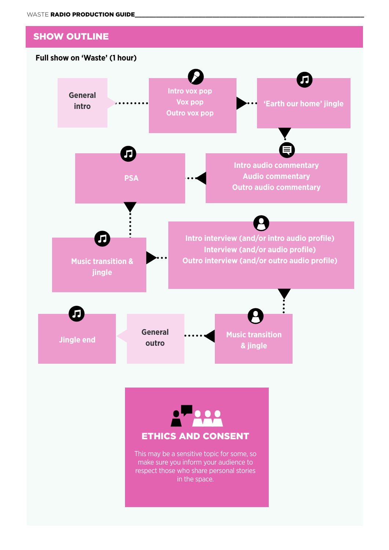



This may be a sensitive topic for some, so make sure you inform your audience to respect those who share personal stories in the space.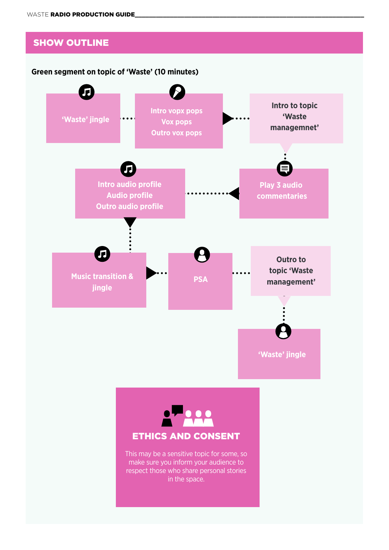# SHOW OUTLINE

#### **Green segment on topic of 'Waste' (10 minutes)**





This may be a sensitive topic for some, so make sure you inform your audience to respect those who share personal stories in the space.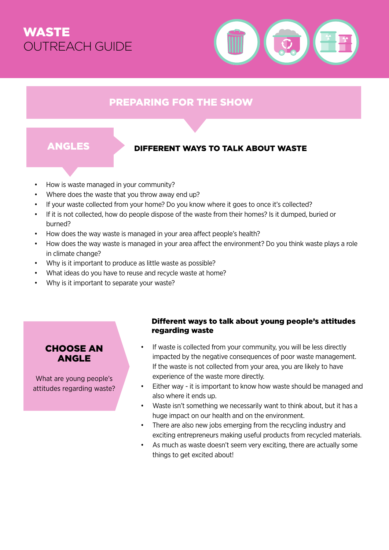# WASTE OUTREACH GUIDE



# PREPARING FOR THE SHOW

# ANGLES DIFFERENT WAYS TO TALK ABOUT WASTE

- How is waste managed in your community?
- Where does the waste that you throw away end up?
- If your waste collected from your home? Do you know where it goes to once it's collected?
- If it is not collected, how do people dispose of the waste from their homes? Is it dumped, buried or burned?
- How does the way waste is managed in your area affect people's health?
- How does the way waste is managed in your area affect the environment? Do you think waste plays a role in climate change?
- Why is it important to produce as little waste as possible?
- What ideas do you have to reuse and recycle waste at home?
- Why is it important to separate your waste?

# CHOOSE AN ANGLE

What are young people's attitudes regarding waste?

#### Different ways to talk about young people's attitudes regarding waste

- If waste is collected from your community, you will be less directly impacted by the negative consequences of poor waste management. If the waste is not collected from your area, you are likely to have experience of the waste more directly.
- Either way it is important to know how waste should be managed and also where it ends up.
- Waste isn't something we necessarily want to think about, but it has a huge impact on our health and on the environment.
- There are also new jobs emerging from the recycling industry and exciting entrepreneurs making useful products from recycled materials.
- As much as waste doesn't seem very exciting, there are actually some things to get excited about!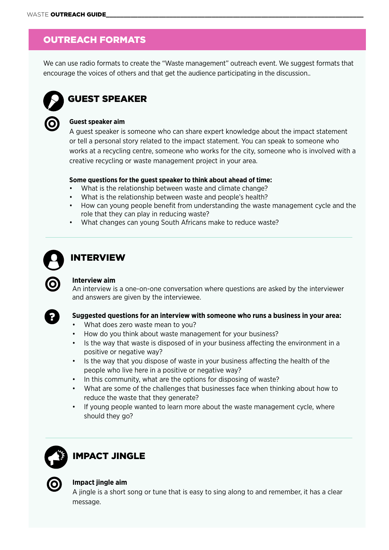# OUTREACH FORMATS

We can use radio formats to create the "Waste management" outreach event. We suggest formats that encourage the voices of others and that get the audience participating in the discussion..



# GUEST SPEAKER



#### A guest speaker is someone who can share expert knowledge about the impact statement or tell a personal story related to the impact statement. You can speak to someone who works at a recycling centre, someone who works for the city, someone who is involved with a creative recycling or waste management project in your area.

#### **Some questions for the guest speaker to think about ahead of time:**

- What is the relationship between waste and climate change?
- What is the relationship between waste and people's health?
- How can young people benefit from understanding the waste management cycle and the role that they can play in reducing waste?
- What changes can young South Africans make to reduce waste?



# INTERVIEW

#### **Interview aim**

An interview is a one-on-one conversation where questions are asked by the interviewer and answers are given by the interviewee.



#### **Suggested questions for an interview with someone who runs a business in your area:**

- What does zero waste mean to you?
- How do you think about waste management for your business?
- Is the way that waste is disposed of in your business affecting the environment in a positive or negative way?
- Is the way that you dispose of waste in your business affecting the health of the people who live here in a positive or negative way?
- In this community, what are the options for disposing of waste?
- What are some of the challenges that businesses face when thinking about how to reduce the waste that they generate?
- If young people wanted to learn more about the waste management cycle, where should they go?



# IMPACT JINGLE



#### **Impact jingle aim**

A jingle is a short song or tune that is easy to sing along to and remember, it has a clear message.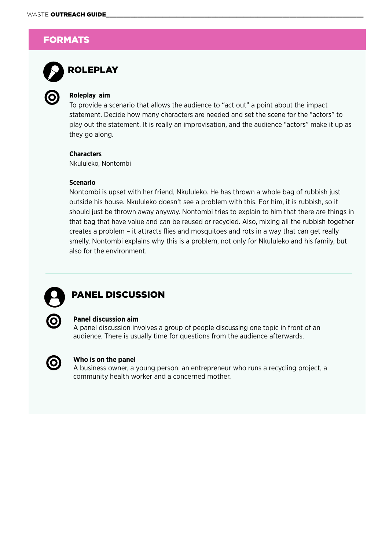# **FORMATS**



# ROLEPLAY

#### **Roleplay aim**

To provide a scenario that allows the audience to "act out" a point about the impact statement. Decide how many characters are needed and set the scene for the "actors" to play out the statement. It is really an improvisation, and the audience "actors" make it up as they go along.

#### **Characters**

Nkululeko, Nontombi

#### **Scenario**

Nontombi is upset with her friend, Nkululeko. He has thrown a whole bag of rubbish just outside his house. Nkululeko doesn't see a problem with this. For him, it is rubbish, so it should just be thrown away anyway. Nontombi tries to explain to him that there are things in that bag that have value and can be reused or recycled. Also, mixing all the rubbish together creates a problem – it attracts flies and mosquitoes and rots in a way that can get really smelly. Nontombi explains why this is a problem, not only for Nkululeko and his family, but also for the environment.



# PANEL DISCUSSION



#### **Panel discussion aim**

A panel discussion involves a group of people discussing one topic in front of an audience. There is usually time for questions from the audience afterwards.



#### **Who is on the panel**

A business owner, a young person, an entrepreneur who runs a recycling project, a community health worker and a concerned mother.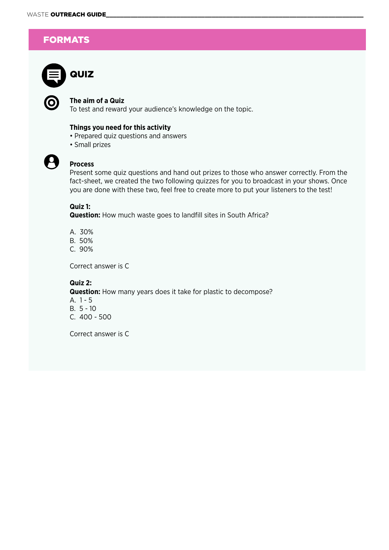# **FORMATS**



#### **The aim of a Quiz**

To test and reward your audience's knowledge on the topic.

#### **Things you need for this activity**

- Prepared quiz questions and answers
- Small prizes



#### **Process**

Present some quiz questions and hand out prizes to those who answer correctly. From the fact-sheet, we created the two following quizzes for you to broadcast in your shows. Once you are done with these two, feel free to create more to put your listeners to the test!

### **Quiz 1:**

**Question:** How much waste goes to landfill sites in South Africa?

- A. 30%
- B. 50%
- C. 90%

Correct answer is C

#### **Quiz 2:**

**Question:** How many years does it take for plastic to decompose? A. 1 - 5 B. 5 - 10 C. 400 - 500

Correct answer is C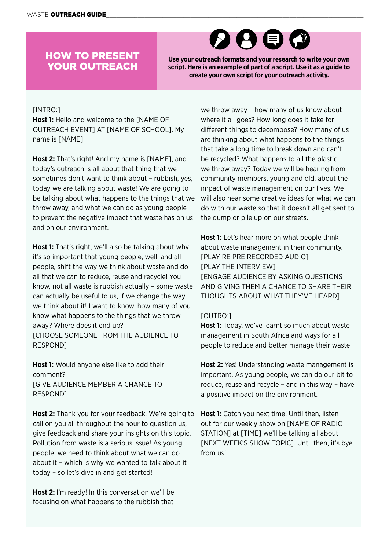# HOW TO PRESENT YOUR OUTREACH



**Use your outreach formats and your research to write your own script. Here is an example of part of a script. Use it as a guide to create your own script for your outreach activity.**

#### [INTRO:]

**Host 1:** Hello and welcome to the [NAME OF OUTREACH EVENT] AT [NAME OF SCHOOL]. My name is [NAME].

**Host 2:** That's right! And my name is [NAME], and today's outreach is all about that thing that we sometimes don't want to think about – rubbish, yes, today we are talking about waste! We are going to be talking about what happens to the things that we throw away, and what we can do as young people to prevent the negative impact that waste has on us and on our environment.

**Host 1:** That's right, we'll also be talking about why it's so important that young people, well, and all people, shift the way we think about waste and do all that we can to reduce, reuse and recycle! You know, not all waste is rubbish actually – some waste can actually be useful to us, if we change the way we think about it! I want to know, how many of you know what happens to the things that we throw away? Where does it end up? [CHOOSE SOMEONE FROM THE AUDIENCE TO RESPOND]

**Host 1:** Would anyone else like to add their comment? [GIVE AUDIENCE MEMBER A CHANCE TO RESPOND]

**Host 2:** Thank you for your feedback. We're going to call on you all throughout the hour to question us, give feedback and share your insights on this topic. Pollution from waste is a serious issue! As young people, we need to think about what we can do about it – which is why we wanted to talk about it today – so let's dive in and get started!

**Host 2:** I'm ready! In this conversation we'll be focusing on what happens to the rubbish that

we throw away – how many of us know about where it all goes? How long does it take for different things to decompose? How many of us are thinking about what happens to the things that take a long time to break down and can't be recycled? What happens to all the plastic we throw away? Today we will be hearing from community members, young and old, about the impact of waste management on our lives. We will also hear some creative ideas for what we can do with our waste so that it doesn't all get sent to the dump or pile up on our streets.

**Host 1:** Let's hear more on what people think about waste management in their community. [PLAY RE PRE RECORDED AUDIO] [PLAY THE INTERVIEW] *IENGAGE AUDIENCE BY ASKING QUESTIONS* AND GIVING THEM A CHANCE TO SHARE THEIR THOUGHTS ABOUT WHAT THEY'VE HEARD]

#### [OUTRO:]

**Host 1:** Today, we've learnt so much about waste management in South Africa and ways for all people to reduce and better manage their waste!

**Host 2:** Yes! Understanding waste management is important. As young people, we can do our bit to reduce, reuse and recycle – and in this way – have a positive impact on the environment.

**Host 1:** Catch you next time! Until then, listen out for our weekly show on [NAME OF RADIO STATION] at [TIME] we'll be talking all about [NEXT WEEK'S SHOW TOPIC]. Until then, it's bye from us!